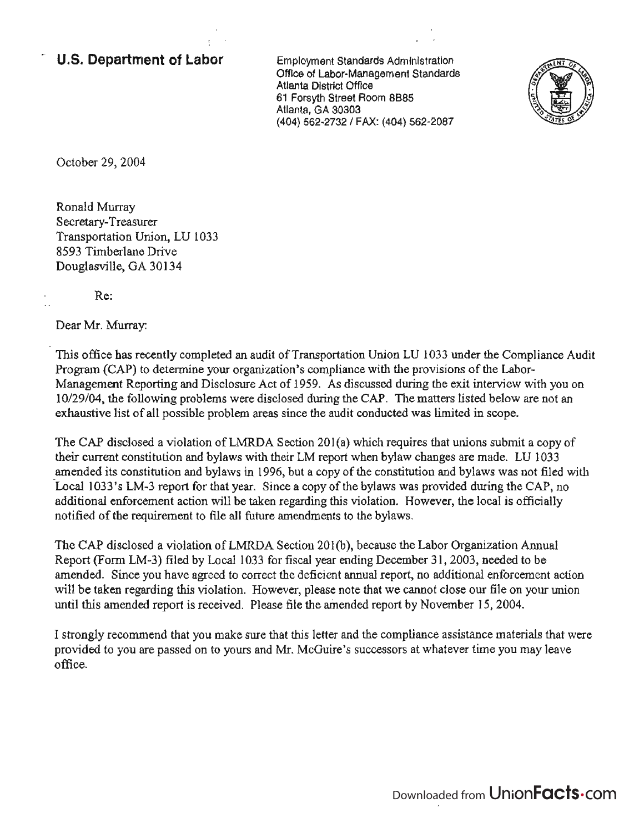## , **u.s. Department of Labor**

Employment Standards Administration Office of Labor-Management Standards Atlanta District Office 61 Forsyth Street Room 8B85 Atlanta, GA 30303 (404) 562-2732 / FAX: (404) 562-2087



October 29, 2004

Ronald Murray Secretary-Treasurer Transportation Union, LU 1033 8593 Timberlane Drive Douglasville, GA 30134

Re:

Dear Mr. Murray:

This office has recently completed an audit of Transportation Union LU 1033 under the Compliance Audit Program (CAP) to determine your organization's compliance with the provisions of the Labor-Management Reporting and Disclosure Act of 1959. As discussed during the exit interview with you on 10129/04, the following problems were disclosed during the CAP. The matters listed below are not an exhaustive list of all possible problem areas since the audit conducted was limited in scope.

The CAP disclosed a violation of LMRDA Section 201(a) which requires that unions submit a copy of their current constitution and bylaws with their LM report when bylaw changes are made. LV 1033 amended its constitution and bylaws in 1996, but a copy of the constitution and bylaws was not filed with Local 1033's LM-3 report for that year. Since a copy of the bylaws was provided during the CAP, no additional enforcement action will be taken regarding this violation. However, the local is officially notified of the requirement to file all future amendments to the bylaws.

The CAP disclosed a violation of LMRDA Section 201(b), because the Labor Organization Annual Report (Form LM-3) filed by Local 1033 for fiscal year ending December 31, 2003, needed to be amended. Since you have agreed to correct the deficient annual report, no additional enforcement action will be taken regarding this violation. However, please note that we cannot close our file on your union until this amended report is received. Please file the amended report by November 15, 2004.

I strongly recommend that you make sure that this letter and the compliance assistance materials that were provided to you are passed on to yours and Mr. McGuire's successors at whatever time you may leave office.